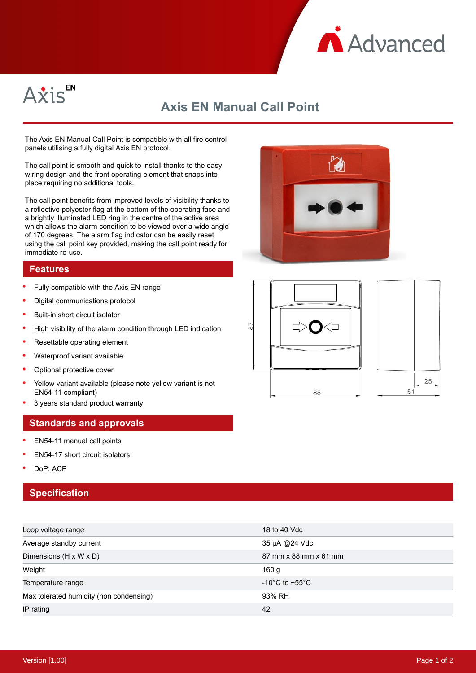



## **Axis EN Manual Call Point**

The Axis EN Manual Call Point is compatible with all fire control panels utilising a fully digital Axis EN protocol.

The call point is smooth and quick to install thanks to the easy wiring design and the front operating element that snaps into place requiring no additional tools.

The call point benefits from improved levels of visibility thanks to a reflective polyester flag at the bottom of the operating face and a brightly illuminated LED ring in the centre of the active area which allows the alarm condition to be viewed over a wide angle of 170 degrees. The alarm flag indicator can be easily reset using the call point key provided, making the call point ready for immediate re-use.

## **Features**

- Fully compatible with the Axis EN range
- $\epsilon$ Digital communications protocol
- Built-in short circuit isolator
- High visibility of the alarm condition through LED indication
- Resettable operating element
- $\bullet$ Waterproof variant available
- Optional protective cover
- Yellow variant available (please note yellow variant is not EN54-11 compliant)
- 3 years standard product warranty

## **Standards and approvals**

- EN54-11 manual call points
- EN54-17 short circuit isolators
- DoP: ACP

## **Specification**

| Loop voltage range                      | 18 to 40 Vdc                       |
|-----------------------------------------|------------------------------------|
| Average standby current                 | 35 µA @24 Vdc                      |
| Dimensions (H x W x D)                  | 87 mm x 88 mm x 61 mm              |
| Weight                                  | 160 g                              |
| Temperature range                       | $-10^{\circ}$ C to $+55^{\circ}$ C |
| Max tolerated humidity (non condensing) | 93% RH                             |
| IP rating                               | 42                                 |